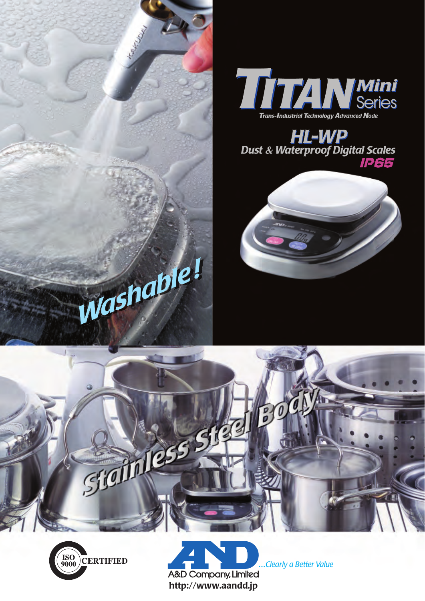



**HL-WP**<br>Dust & Waterproof Digital Scales **IP65**